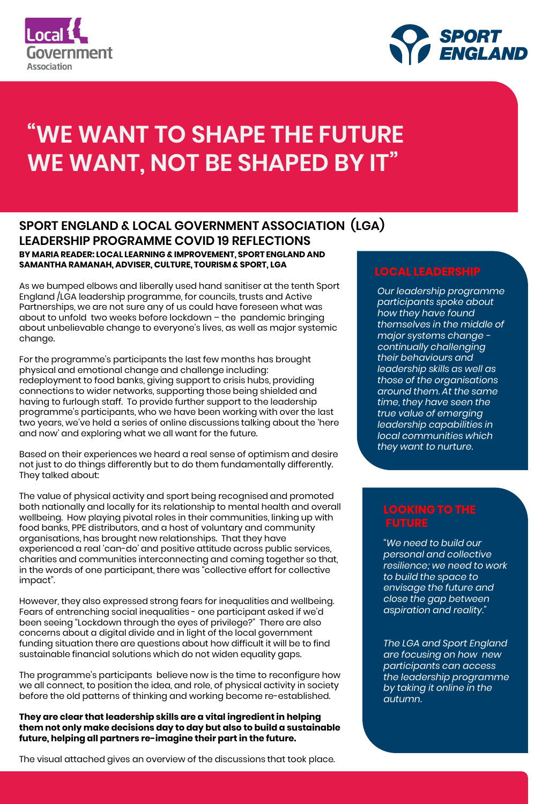



# **"WE WANT TO SHAPE THE FUTURE WE WANT, NOT BE SHAPED BY IT"**

### **BY MARIA READER: LOCAL LEARNING & IMPROVEMENT, SPORT ENGLAND AND SAMANTHA RAMANAH, ADVISER, CULTURE, TOURISM & SPORT, LGA SPORT ENGLAND & LOCAL GOVERNMENT ASSOCIATION (LGA) LEADERSHIP PROGRAMME COVID 19 REFLECTIONS**

As we bumped elbows and liberally used hand sanitiser at the tenth Sport England /LGA leadership programme, for councils, trusts and Active Partnerships, we are not sure any of us could have foreseen what was about to unfold two weeks before lockdown – the pandemic bringing about unbelievable change to everyone's lives, as well as major systemic change.

For the programme's participants the last few months has brought physical and emotional change and challenge including: redeployment to food banks, giving support to crisis hubs, providing connections to wider networks, supporting those being shielded and having to furlough staff. To provide further support to the leadership programme's participants, who we have been working with over the last two years, we've held a series of online discussions talking about the 'here and now' and exploring what we all want for the future.

Based on their experiences we heard a real sense of optimism and desire not just to do things differently but to do them fundamentally differently. They talked about:

The value of physical activity and sport being recognised and promoted both nationally and locally for its relationship to mental health and overall wellbeing. How playing pivotal roles in their communities, linking up with food banks, PPE distributors, and a host of voluntary and community organisations, has brought new relationships. That they have experienced a real 'can-do' and positive attitude across public services, charities and communities interconnecting and coming together so that, in the words of one participant, there was "collective effort for collective impact".

However, they also expressed strong fears for inequalities and wellbeing. Fears of entrenching social inequalities - one participant asked if we'd been seeing "Lockdown through the eyes of privilege?" There are also concerns about a digital divide and in light of the local government funding situation there are questions about how difficult it will be to find sustainable financial solutions which do not widen equality gaps.

The programme's participants believe now is the time to reconfigure how we all connect, to position the idea, and role, of physical activity in society before the old patterns of thinking and working become re-established.

**They are clear that leadership skills are a vital ingredient in helping them not only make decisions day to day but also to build a sustainable future, helping all partners re-imagine their part in the future.**

The visual attached gives an overview of the discussions that took place.

### **LOCAL LEADERSHIP**

*Our leadership programme participants spoke about how they have found themselves in the middle of major systems change continually challenging their behaviours and leadership skills as well as those of the organisations around them. At the same time, they have seen the true value of emerging leadership capabilities in local communities which they want to nurture.*

*"We need to build our personal and collective resilience; we need to work to build the space to envisage the future and close the gap between aspiration and reality."* 

*The LGA and Sport England are focusing on how new participants can access the leadership programme by taking it online in the autumn.*